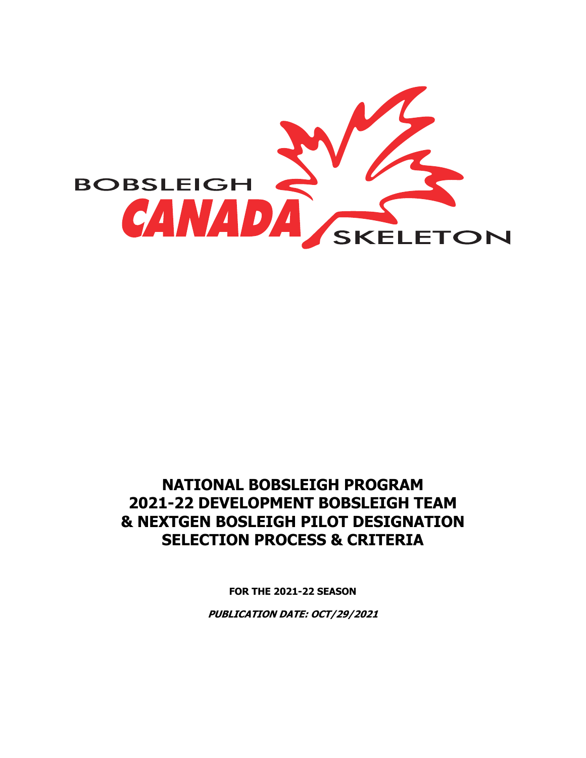

# **NATIONAL BOBSLEIGH PROGRAM 2021-22 DEVELOPMENT BOBSLEIGH TEAM & NEXTGEN BOSLEIGH PILOT DESIGNATION SELECTION PROCESS & CRITERIA**

**FOR THE 2021-22 SEASON**

**PUBLICATION DATE: OCT/29/2021**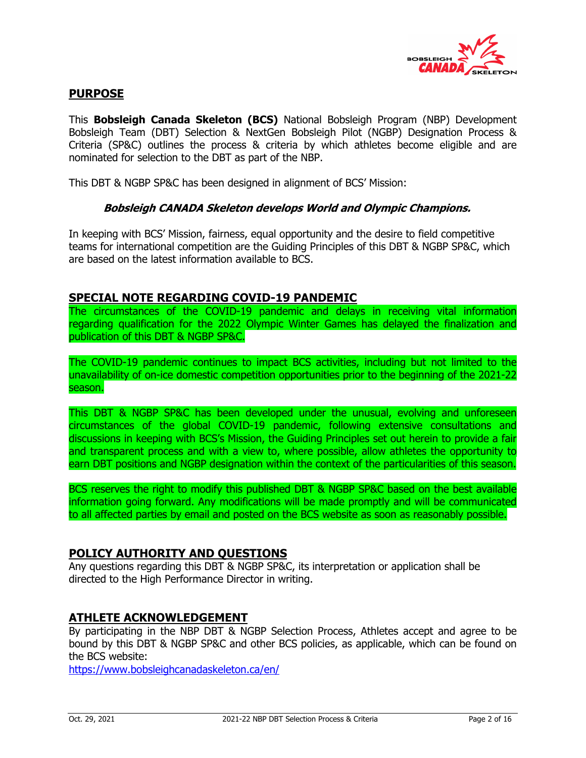

## **PURPOSE**

This **Bobsleigh Canada Skeleton (BCS)** National Bobsleigh Program (NBP) Development Bobsleigh Team (DBT) Selection & NextGen Bobsleigh Pilot (NGBP) Designation Process & Criteria (SP&C) outlines the process & criteria by which athletes become eligible and are nominated for selection to the DBT as part of the NBP.

This DBT & NGBP SP&C has been designed in alignment of BCS' Mission:

#### **Bobsleigh CANADA Skeleton develops World and Olympic Champions.**

In keeping with BCS' Mission, fairness, equal opportunity and the desire to field competitive teams for international competition are the Guiding Principles of this DBT & NGBP SP&C, which are based on the latest information available to BCS.

#### **SPECIAL NOTE REGARDING COVID-19 PANDEMIC**

The circumstances of the COVID-19 pandemic and delays in receiving vital information regarding qualification for the 2022 Olympic Winter Games has delayed the finalization and publication of this DBT & NGBP SP&C.

The COVID-19 pandemic continues to impact BCS activities, including but not limited to the unavailability of on-ice domestic competition opportunities prior to the beginning of the 2021-22 season.

This DBT & NGBP SP&C has been developed under the unusual, evolving and unforeseen circumstances of the global COVID-19 pandemic, following extensive consultations and discussions in keeping with BCS's Mission, the Guiding Principles set out herein to provide a fair and transparent process and with a view to, where possible, allow athletes the opportunity to earn DBT positions and NGBP designation within the context of the particularities of this season.

BCS reserves the right to modify this published DBT & NGBP SP&C based on the best available information going forward. Any modifications will be made promptly and will be communicated to all affected parties by email and posted on the BCS website as soon as reasonably possible.

## **POLICY AUTHORITY AND QUESTIONS**

Any questions regarding this DBT & NGBP SP&C, its interpretation or application shall be directed to the High Performance Director in writing.

## **ATHLETE ACKNOWLEDGEMENT**

By participating in the NBP DBT & NGBP Selection Process, Athletes accept and agree to be bound by this DBT & NGBP SP&C and other BCS policies, as applicable, which can be found on the BCS website:

https://www.bobsleighcanadaskeleton.ca/en/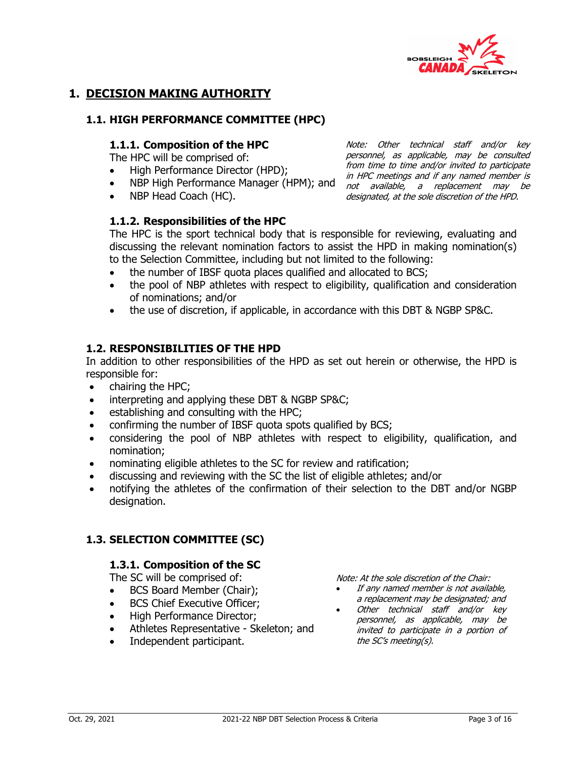

Note: Other technical staff and/or key personnel, as applicable, may be consulted from time to time and/or invited to participate

## **1. DECISION MAKING AUTHORITY**

## **1.1. HIGH PERFORMANCE COMMITTEE (HPC)**

### **1.1.1. Composition of the HPC**

The HPC will be comprised of:

- High Performance Director (HPD);
- *F* Fight Chormance Bircetor (111 B), and the meetings and if any named member is<br>• NBP High Performance Manager (HPM); and not available, a replacement may be
- NBP Head Coach (HC).

## **1.1.2. Responsibilities of the HPC**

not available, a replacement may be designated, at the sole discretion of the HPD.

The HPC is the sport technical body that is responsible for reviewing, evaluating and discussing the relevant nomination factors to assist the HPD in making nomination(s) to the Selection Committee, including but not limited to the following:

- the number of IBSF quota places qualified and allocated to BCS;
- the pool of NBP athletes with respect to eligibility, qualification and consideration of nominations; and/or
- the use of discretion, if applicable, in accordance with this DBT & NGBP SP&C.

## **1.2. RESPONSIBILITIES OF THE HPD**

In addition to other responsibilities of the HPD as set out herein or otherwise, the HPD is responsible for:

- chairing the HPC;
- interpreting and applying these DBT & NGBP SP&C;
- establishing and consulting with the HPC;
- confirming the number of IBSF quota spots qualified by BCS;
- considering the pool of NBP athletes with respect to eligibility, qualification, and nomination;
- nominating eligible athletes to the SC for review and ratification;
- discussing and reviewing with the SC the list of eligible athletes; and/or
- notifying the athletes of the confirmation of their selection to the DBT and/or NGBP designation.

## **1.3. SELECTION COMMITTEE (SC)**

## **1.3.1. Composition of the SC**

The SC will be comprised of:

- BCS Board Member (Chair);
- BCS Chief Executive Officer:
- High Performance Director;
- Athletes Representative Skeleton; and
- Independent participant.

Note: At the sole discretion of the Chair:

- If any named member is not available, a replacement may be designated; and
- Other technical staff and/or key personnel, as applicable, may be invited to participate in a portion of the SC's meeting(s).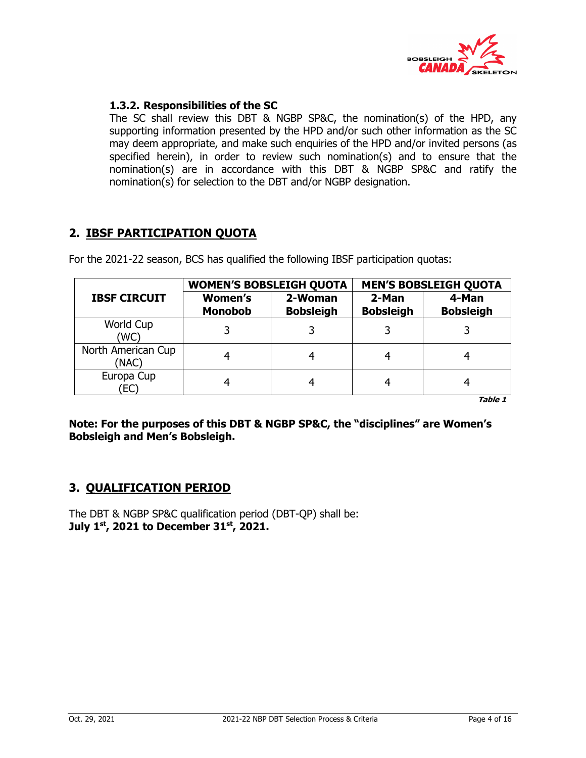

## **1.3.2. Responsibilities of the SC**

The SC shall review this DBT & NGBP SP&C, the nomination(s) of the HPD, any supporting information presented by the HPD and/or such other information as the SC may deem appropriate, and make such enquiries of the HPD and/or invited persons (as specified herein), in order to review such nomination(s) and to ensure that the nomination(s) are in accordance with this DBT & NGBP SP&C and ratify the nomination(s) for selection to the DBT and/or NGBP designation.

## **2. IBSF PARTICIPATION QUOTA**

For the 2021-22 season, BCS has qualified the following IBSF participation quotas:

|                             | <b>WOMEN'S BOBSLEIGH QUOTA</b>   |                             | <b>MEN'S BOBSLEIGH QUOTA</b> |                           |  |  |  |  |  |  |  |
|-----------------------------|----------------------------------|-----------------------------|------------------------------|---------------------------|--|--|--|--|--|--|--|
| <b>IBSF CIRCUIT</b>         | <b>Women's</b><br><b>Monobob</b> | 2-Woman<br><b>Bobsleigh</b> | 2-Man<br><b>Bobsleigh</b>    | 4-Man<br><b>Bobsleigh</b> |  |  |  |  |  |  |  |
| World Cup<br>(WC)           | 3                                |                             |                              |                           |  |  |  |  |  |  |  |
| North American Cup<br>(NAC) |                                  | 4                           |                              |                           |  |  |  |  |  |  |  |
| Europa Cup<br>EC)           |                                  | 4                           |                              |                           |  |  |  |  |  |  |  |

**Table 1**

**Note: For the purposes of this DBT & NGBP SP&C, the "disciplines" are Women's Bobsleigh and Men's Bobsleigh.** 

## **3. QUALIFICATION PERIOD**

The DBT & NGBP SP&C qualification period (DBT-QP) shall be: **July 1st, 2021 to December 31st, 2021.**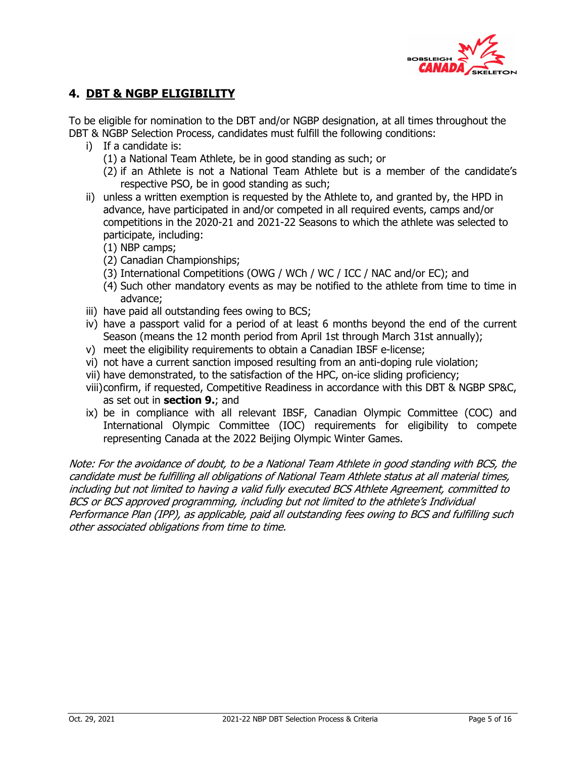

## **4. DBT & NGBP ELIGIBILITY**

To be eligible for nomination to the DBT and/or NGBP designation, at all times throughout the DBT & NGBP Selection Process, candidates must fulfill the following conditions:

- i) If a candidate is:
	- (1) a National Team Athlete, be in good standing as such; or
	- (2) if an Athlete is not a National Team Athlete but is a member of the candidate's respective PSO, be in good standing as such;
- ii) unless a written exemption is requested by the Athlete to, and granted by, the HPD in advance, have participated in and/or competed in all required events, camps and/or competitions in the 2020-21 and 2021-22 Seasons to which the athlete was selected to participate, including:
	- (1) NBP camps;
	- (2) Canadian Championships;
	- (3) International Competitions (OWG / WCh / WC / ICC / NAC and/or EC); and
	- (4) Such other mandatory events as may be notified to the athlete from time to time in advance;
- iii) have paid all outstanding fees owing to BCS;
- iv) have a passport valid for a period of at least 6 months beyond the end of the current Season (means the 12 month period from April 1st through March 31st annually);
- v) meet the eligibility requirements to obtain a Canadian IBSF e-license;
- vi) not have a current sanction imposed resulting from an anti-doping rule violation;
- vii) have demonstrated, to the satisfaction of the HPC, on-ice sliding proficiency;
- viii)confirm, if requested, Competitive Readiness in accordance with this DBT & NGBP SP&C, as set out in **section 9.**; and
- ix) be in compliance with all relevant IBSF, Canadian Olympic Committee (COC) and International Olympic Committee (IOC) requirements for eligibility to compete representing Canada at the 2022 Beijing Olympic Winter Games.

Note: For the avoidance of doubt, to be a National Team Athlete in good standing with BCS, the candidate must be fulfilling all obligations of National Team Athlete status at all material times, including but not limited to having a valid fully executed BCS Athlete Agreement, committed to BCS or BCS approved programming, including but not limited to the athlete's Individual Performance Plan (IPP), as applicable, paid all outstanding fees owing to BCS and fulfilling such other associated obligations from time to time.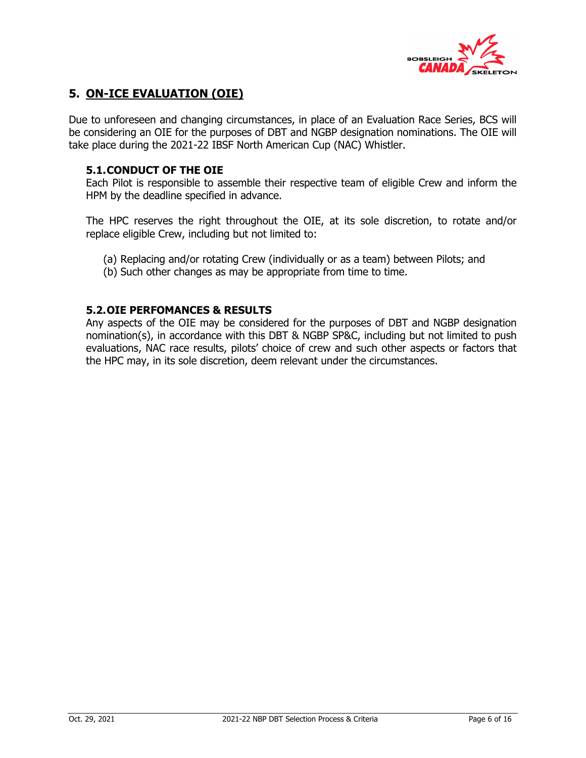

## **5. ON-ICE EVALUATION (OIE)**

Due to unforeseen and changing circumstances, in place of an Evaluation Race Series, BCS will be considering an OIE for the purposes of DBT and NGBP designation nominations. The OIE will take place during the 2021-22 IBSF North American Cup (NAC) Whistler.

### **5.1.CONDUCT OF THE OIE**

Each Pilot is responsible to assemble their respective team of eligible Crew and inform the HPM by the deadline specified in advance.

The HPC reserves the right throughout the OIE, at its sole discretion, to rotate and/or replace eligible Crew, including but not limited to:

- (a) Replacing and/or rotating Crew (individually or as a team) between Pilots; and
- (b) Such other changes as may be appropriate from time to time.

## **5.2.OIE PERFOMANCES & RESULTS**

Any aspects of the OIE may be considered for the purposes of DBT and NGBP designation nomination(s), in accordance with this DBT & NGBP SP&C, including but not limited to push evaluations, NAC race results, pilots' choice of crew and such other aspects or factors that the HPC may, in its sole discretion, deem relevant under the circumstances.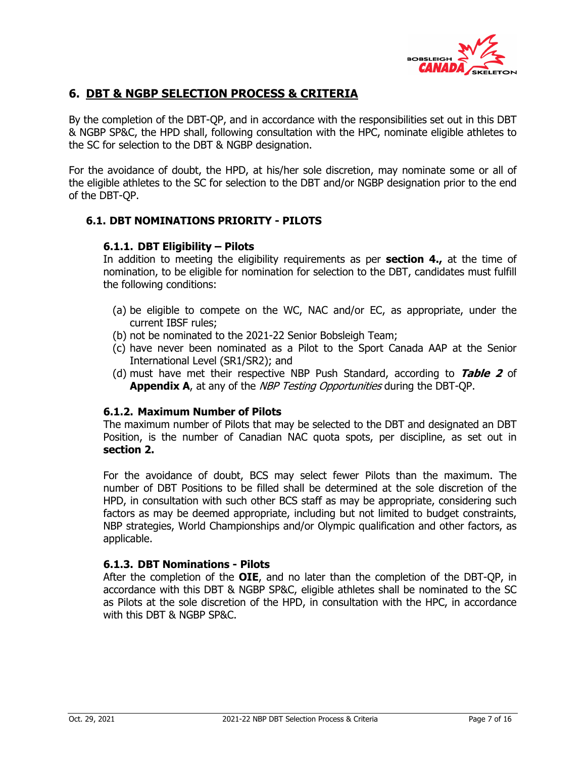

## **6. DBT & NGBP SELECTION PROCESS & CRITERIA**

By the completion of the DBT-QP, and in accordance with the responsibilities set out in this DBT & NGBP SP&C, the HPD shall, following consultation with the HPC, nominate eligible athletes to the SC for selection to the DBT & NGBP designation.

For the avoidance of doubt, the HPD, at his/her sole discretion, may nominate some or all of the eligible athletes to the SC for selection to the DBT and/or NGBP designation prior to the end of the DBT-QP.

## **6.1. DBT NOMINATIONS PRIORITY - PILOTS**

## **6.1.1. DBT Eligibility – Pilots**

In addition to meeting the eligibility requirements as per **section 4.,** at the time of nomination, to be eligible for nomination for selection to the DBT, candidates must fulfill the following conditions:

- (a) be eligible to compete on the WC, NAC and/or EC, as appropriate, under the current IBSF rules;
- (b) not be nominated to the 2021-22 Senior Bobsleigh Team;
- (c) have never been nominated as a Pilot to the Sport Canada AAP at the Senior International Level (SR1/SR2); and
- (d) must have met their respective NBP Push Standard, according to **Table 2** of **Appendix A**, at any of the *NBP Testing Opportunities* during the DBT-OP.

## **6.1.2. Maximum Number of Pilots**

The maximum number of Pilots that may be selected to the DBT and designated an DBT Position, is the number of Canadian NAC quota spots, per discipline, as set out in **section 2.**

For the avoidance of doubt, BCS may select fewer Pilots than the maximum. The number of DBT Positions to be filled shall be determined at the sole discretion of the HPD, in consultation with such other BCS staff as may be appropriate, considering such factors as may be deemed appropriate, including but not limited to budget constraints, NBP strategies, World Championships and/or Olympic qualification and other factors, as applicable.

## **6.1.3. DBT Nominations - Pilots**

After the completion of the **OIE**, and no later than the completion of the DBT-QP, in accordance with this DBT & NGBP SP&C, eligible athletes shall be nominated to the SC as Pilots at the sole discretion of the HPD, in consultation with the HPC, in accordance with this DBT & NGBP SP&C.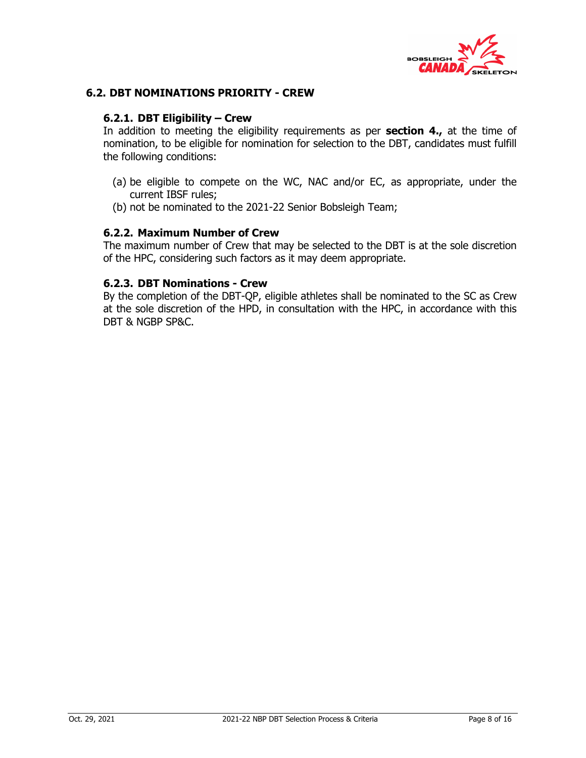

### **6.2. DBT NOMINATIONS PRIORITY - CREW**

#### **6.2.1. DBT Eligibility – Crew**

In addition to meeting the eligibility requirements as per **section 4.,** at the time of nomination, to be eligible for nomination for selection to the DBT, candidates must fulfill the following conditions:

- (a) be eligible to compete on the WC, NAC and/or EC, as appropriate, under the current IBSF rules;
- (b) not be nominated to the 2021-22 Senior Bobsleigh Team;

#### **6.2.2. Maximum Number of Crew**

The maximum number of Crew that may be selected to the DBT is at the sole discretion of the HPC, considering such factors as it may deem appropriate.

## **6.2.3. DBT Nominations - Crew**

By the completion of the DBT-QP, eligible athletes shall be nominated to the SC as Crew at the sole discretion of the HPD, in consultation with the HPC, in accordance with this DBT & NGBP SP&C.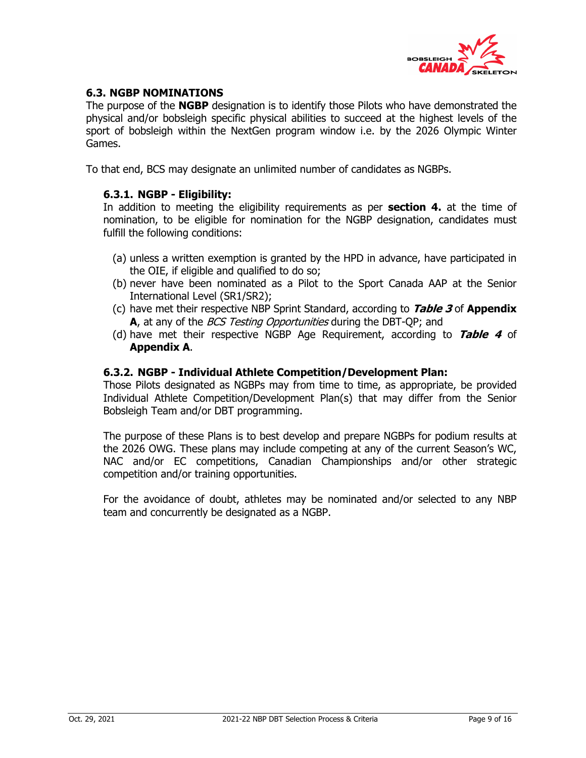

## **6.3. NGBP NOMINATIONS**

The purpose of the **NGBP** designation is to identify those Pilots who have demonstrated the physical and/or bobsleigh specific physical abilities to succeed at the highest levels of the sport of bobsleigh within the NextGen program window i.e. by the 2026 Olympic Winter Games.

To that end, BCS may designate an unlimited number of candidates as NGBPs.

### **6.3.1. NGBP - Eligibility:**

In addition to meeting the eligibility requirements as per **section 4.** at the time of nomination, to be eligible for nomination for the NGBP designation, candidates must fulfill the following conditions:

- (a) unless a written exemption is granted by the HPD in advance, have participated in the OIE, if eligible and qualified to do so;
- (b) never have been nominated as a Pilot to the Sport Canada AAP at the Senior International Level (SR1/SR2);
- (c) have met their respective NBP Sprint Standard, according to **Table 3** of **Appendix A**, at any of the *BCS Testing Opportunities* during the DBT-OP; and
- (d) have met their respective NGBP Age Requirement, according to **Table 4** of **Appendix A**.

#### **6.3.2. NGBP - Individual Athlete Competition/Development Plan:**

Those Pilots designated as NGBPs may from time to time, as appropriate, be provided Individual Athlete Competition/Development Plan(s) that may differ from the Senior Bobsleigh Team and/or DBT programming.

The purpose of these Plans is to best develop and prepare NGBPs for podium results at the 2026 OWG. These plans may include competing at any of the current Season's WC, NAC and/or EC competitions, Canadian Championships and/or other strategic competition and/or training opportunities.

For the avoidance of doubt, athletes may be nominated and/or selected to any NBP team and concurrently be designated as a NGBP.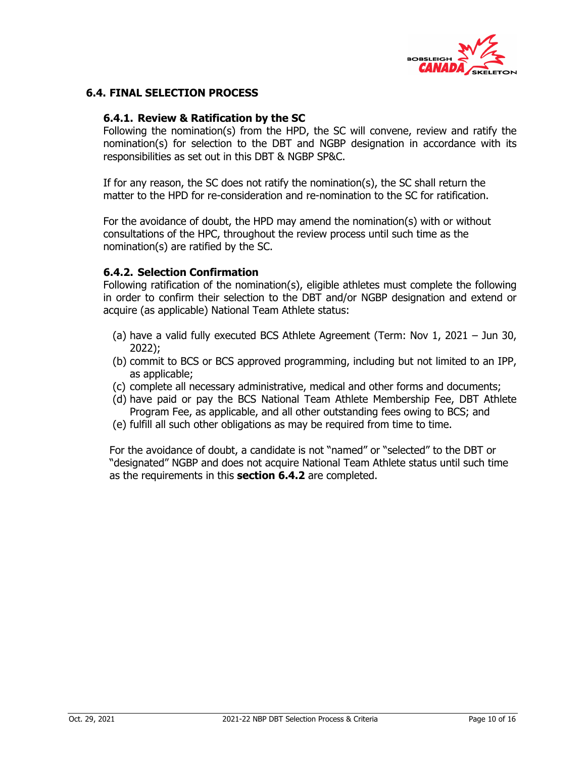

## **6.4. FINAL SELECTION PROCESS**

## **6.4.1. Review & Ratification by the SC**

Following the nomination(s) from the HPD, the SC will convene, review and ratify the nomination(s) for selection to the DBT and NGBP designation in accordance with its responsibilities as set out in this DBT & NGBP SP&C.

If for any reason, the SC does not ratify the nomination(s), the SC shall return the matter to the HPD for re-consideration and re-nomination to the SC for ratification.

For the avoidance of doubt, the HPD may amend the nomination(s) with or without consultations of the HPC, throughout the review process until such time as the nomination(s) are ratified by the SC.

#### **6.4.2. Selection Confirmation**

Following ratification of the nomination(s), eligible athletes must complete the following in order to confirm their selection to the DBT and/or NGBP designation and extend or acquire (as applicable) National Team Athlete status:

- (a) have a valid fully executed BCS Athlete Agreement (Term: Nov 1, 2021 Jun 30, 2022);
- (b) commit to BCS or BCS approved programming, including but not limited to an IPP, as applicable;
- (c) complete all necessary administrative, medical and other forms and documents;
- (d) have paid or pay the BCS National Team Athlete Membership Fee, DBT Athlete Program Fee, as applicable, and all other outstanding fees owing to BCS; and
- (e) fulfill all such other obligations as may be required from time to time.

For the avoidance of doubt, a candidate is not "named" or "selected" to the DBT or "designated" NGBP and does not acquire National Team Athlete status until such time as the requirements in this **section 6.4.2** are completed.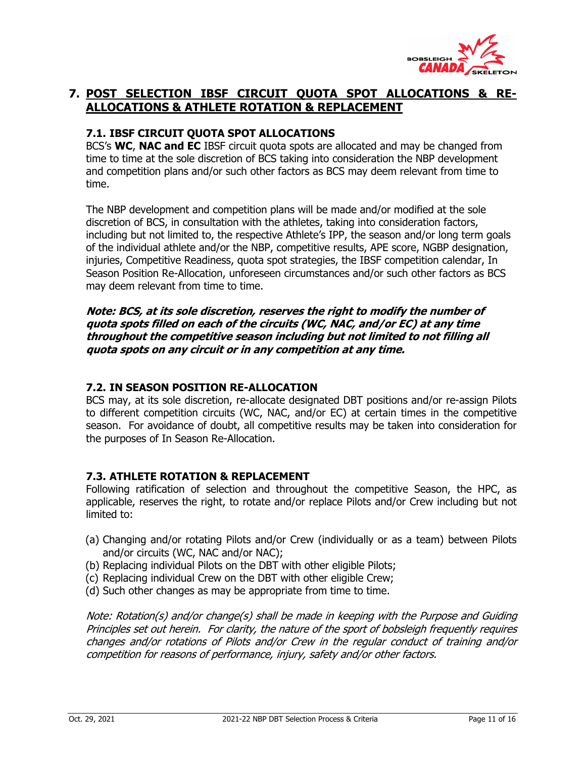

## **7. POST SELECTION IBSF CIRCUIT QUOTA SPOT ALLOCATIONS & RE-ALLOCATIONS & ATHLETE ROTATION & REPLACEMENT**

## **7.1. IBSF CIRCUIT QUOTA SPOT ALLOCATIONS**

BCS's **WC**, **NAC and EC** IBSF circuit quota spots are allocated and may be changed from time to time at the sole discretion of BCS taking into consideration the NBP development and competition plans and/or such other factors as BCS may deem relevant from time to time.

The NBP development and competition plans will be made and/or modified at the sole discretion of BCS, in consultation with the athletes, taking into consideration factors, including but not limited to, the respective Athlete's IPP, the season and/or long term goals of the individual athlete and/or the NBP, competitive results, APE score, NGBP designation, injuries, Competitive Readiness, quota spot strategies, the IBSF competition calendar, In Season Position Re-Allocation, unforeseen circumstances and/or such other factors as BCS may deem relevant from time to time.

**Note: BCS, at its sole discretion, reserves the right to modify the number of quota spots filled on each of the circuits (WC, NAC, and/or EC) at any time throughout the competitive season including but not limited to not filling all quota spots on any circuit or in any competition at any time.** 

## **7.2. IN SEASON POSITION RE-ALLOCATION**

BCS may, at its sole discretion, re-allocate designated DBT positions and/or re-assign Pilots to different competition circuits (WC, NAC, and/or EC) at certain times in the competitive season. For avoidance of doubt, all competitive results may be taken into consideration for the purposes of In Season Re-Allocation.

## **7.3. ATHLETE ROTATION & REPLACEMENT**

Following ratification of selection and throughout the competitive Season, the HPC, as applicable, reserves the right, to rotate and/or replace Pilots and/or Crew including but not limited to:

- (a) Changing and/or rotating Pilots and/or Crew (individually or as a team) between Pilots and/or circuits (WC, NAC and/or NAC);
- (b) Replacing individual Pilots on the DBT with other eligible Pilots;
- (c) Replacing individual Crew on the DBT with other eligible Crew;
- (d) Such other changes as may be appropriate from time to time.

Note: Rotation(s) and/or change(s) shall be made in keeping with the Purpose and Guiding Principles set out herein. For clarity, the nature of the sport of bobsleigh frequently requires changes and/or rotations of Pilots and/or Crew in the regular conduct of training and/or competition for reasons of performance, injury, safety and/or other factors.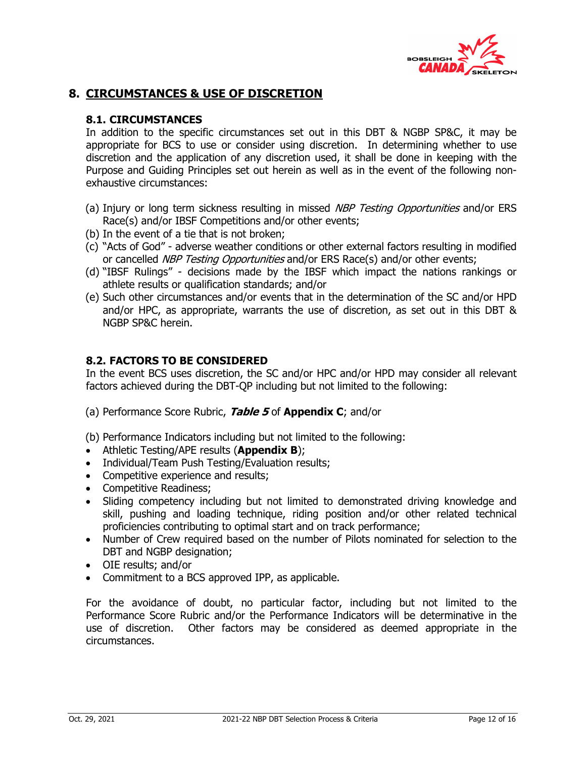

## **8. CIRCUMSTANCES & USE OF DISCRETION**

## **8.1. CIRCUMSTANCES**

In addition to the specific circumstances set out in this DBT & NGBP SP&C, it may be appropriate for BCS to use or consider using discretion. In determining whether to use discretion and the application of any discretion used, it shall be done in keeping with the Purpose and Guiding Principles set out herein as well as in the event of the following nonexhaustive circumstances:

- (a) Injury or long term sickness resulting in missed *NBP Testing Opportunities* and/or ERS Race(s) and/or IBSF Competitions and/or other events;
- (b) In the event of a tie that is not broken;
- (c) "Acts of God" adverse weather conditions or other external factors resulting in modified or cancelled *NBP Testing Opportunities* and/or ERS Race(s) and/or other events;
- (d) "IBSF Rulings" decisions made by the IBSF which impact the nations rankings or athlete results or qualification standards; and/or
- (e) Such other circumstances and/or events that in the determination of the SC and/or HPD and/or HPC, as appropriate, warrants the use of discretion, as set out in this DBT & NGBP SP&C herein.

## **8.2. FACTORS TO BE CONSIDERED**

In the event BCS uses discretion, the SC and/or HPC and/or HPD may consider all relevant factors achieved during the DBT-QP including but not limited to the following:

- (a) Performance Score Rubric, **Table 5** of **Appendix C**; and/or
- (b) Performance Indicators including but not limited to the following:
- Athletic Testing/APE results (**Appendix B**);
- Individual/Team Push Testing/Evaluation results;
- Competitive experience and results:
- Competitive Readiness;
- Sliding competency including but not limited to demonstrated driving knowledge and skill, pushing and loading technique, riding position and/or other related technical proficiencies contributing to optimal start and on track performance;
- Number of Crew required based on the number of Pilots nominated for selection to the DBT and NGBP designation;
- OIE results; and/or
- Commitment to a BCS approved IPP, as applicable.

For the avoidance of doubt, no particular factor, including but not limited to the Performance Score Rubric and/or the Performance Indicators will be determinative in the use of discretion. Other factors may be considered as deemed appropriate in the circumstances.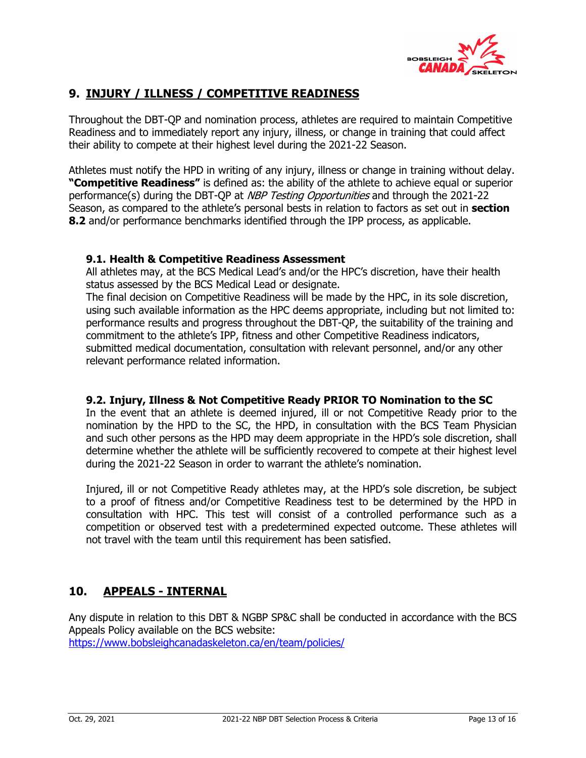

## **9. INJURY / ILLNESS / COMPETITIVE READINESS**

Throughout the DBT-QP and nomination process, athletes are required to maintain Competitive Readiness and to immediately report any injury, illness, or change in training that could affect their ability to compete at their highest level during the 2021-22 Season.

Athletes must notify the HPD in writing of any injury, illness or change in training without delay. **"Competitive Readiness"** is defined as: the ability of the athlete to achieve equal or superior performance(s) during the DBT-QP at NBP Testing Opportunities and through the 2021-22 Season, as compared to the athlete's personal bests in relation to factors as set out in **section 8.2** and/or performance benchmarks identified through the IPP process, as applicable.

## **9.1. Health & Competitive Readiness Assessment**

All athletes may, at the BCS Medical Lead's and/or the HPC's discretion, have their health status assessed by the BCS Medical Lead or designate.

The final decision on Competitive Readiness will be made by the HPC, in its sole discretion, using such available information as the HPC deems appropriate, including but not limited to: performance results and progress throughout the DBT-QP, the suitability of the training and commitment to the athlete's IPP, fitness and other Competitive Readiness indicators, submitted medical documentation, consultation with relevant personnel, and/or any other relevant performance related information.

## **9.2. Injury, Illness & Not Competitive Ready PRIOR TO Nomination to the SC**

In the event that an athlete is deemed injured, ill or not Competitive Ready prior to the nomination by the HPD to the SC, the HPD, in consultation with the BCS Team Physician and such other persons as the HPD may deem appropriate in the HPD's sole discretion, shall determine whether the athlete will be sufficiently recovered to compete at their highest level during the 2021-22 Season in order to warrant the athlete's nomination.

Injured, ill or not Competitive Ready athletes may, at the HPD's sole discretion, be subject to a proof of fitness and/or Competitive Readiness test to be determined by the HPD in consultation with HPC. This test will consist of a controlled performance such as a competition or observed test with a predetermined expected outcome. These athletes will not travel with the team until this requirement has been satisfied.

## **10. APPEALS - INTERNAL**

Any dispute in relation to this DBT & NGBP SP&C shall be conducted in accordance with the BCS Appeals Policy available on the BCS website: https://www.bobsleighcanadaskeleton.ca/en/team/policies/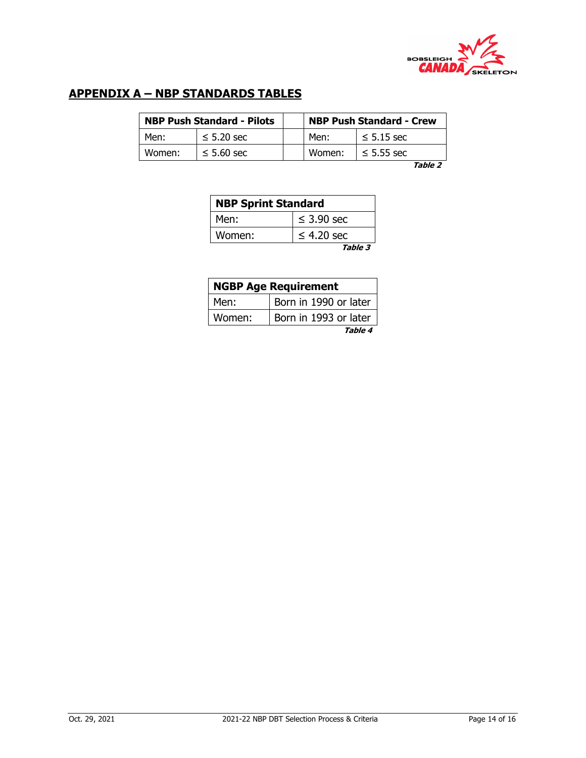

## **APPENDIX A – NBP STANDARDS TABLES**

|        | <b>NBP Push Standard - Pilots</b> |        | <b>NBP Push Standard - Crew</b> |
|--------|-----------------------------------|--------|---------------------------------|
| Men:   | $\leq$ 5.20 sec                   | Men:   | $\leq$ 5.15 sec                 |
| Women: | $\leq 5.60$ sec                   | Women: | $\leq$ 5.55 sec                 |

**Table 2**

| <b>NBP Sprint Standard</b> |                 |  |  |  |  |  |  |  |  |  |  |  |
|----------------------------|-----------------|--|--|--|--|--|--|--|--|--|--|--|
| Men:                       | $\leq$ 3.90 sec |  |  |  |  |  |  |  |  |  |  |  |
| Women:                     | $\leq$ 4.20 sec |  |  |  |  |  |  |  |  |  |  |  |
|                            | Table 3         |  |  |  |  |  |  |  |  |  |  |  |

| <b>NGBP Age Requirement</b> |                       |  |  |  |  |  |  |  |  |  |  |  |
|-----------------------------|-----------------------|--|--|--|--|--|--|--|--|--|--|--|
| Men:                        | Born in 1990 or later |  |  |  |  |  |  |  |  |  |  |  |
| Women:                      | Born in 1993 or later |  |  |  |  |  |  |  |  |  |  |  |
|                             | Table 4               |  |  |  |  |  |  |  |  |  |  |  |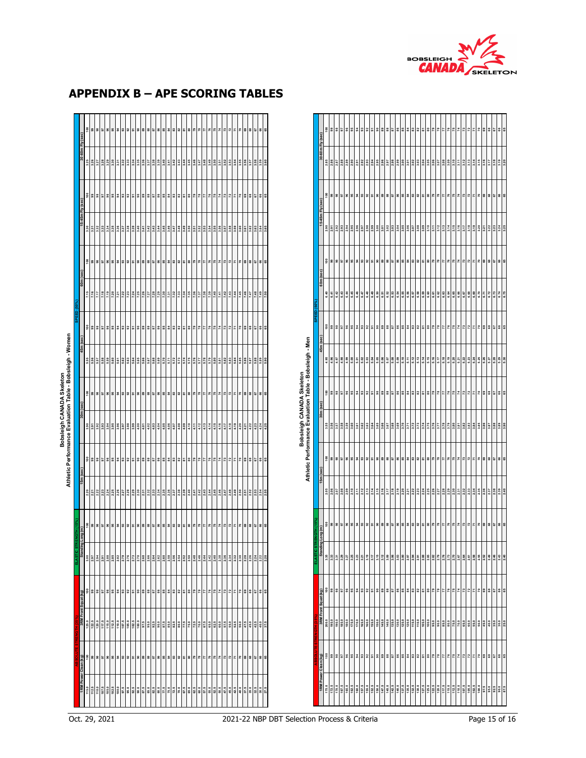

| Im Fly (sec)  | 988                                                                                                               |  | ត ៖ ៖ ៖ ៖ ៖     |                                                                                                                                                                                                                                  | ္တ | 5833          |  | ≌∣≋              |    | 82 83 |      |                | <b>E</b> 25 |    | $\mathbb{R}$  | : ខេ |                                     | 74 |  |                           | 69 | $\ddot{\phantom{a}}$ | 67 |                                                                                      |            | $\frac{8}{2}$ |              | 385833                                |     |                                           |  |   | 858885  | 86 | 83.8  |     | ឌួឌួ                                      | 787     |     |                                                                                                                                                                                                                                              | 7872         |                                                                                                                 |         | 3353  |  |  |
|---------------|-------------------------------------------------------------------------------------------------------------------|--|-----------------|----------------------------------------------------------------------------------------------------------------------------------------------------------------------------------------------------------------------------------|----|---------------|--|------------------|----|-------|------|----------------|-------------|----|---------------|------|-------------------------------------|----|--|---------------------------|----|----------------------|----|--------------------------------------------------------------------------------------|------------|---------------|--------------|---------------------------------------|-----|-------------------------------------------|--|---|---------|----|-------|-----|-------------------------------------------|---------|-----|----------------------------------------------------------------------------------------------------------------------------------------------------------------------------------------------------------------------------------------------|--------------|-----------------------------------------------------------------------------------------------------------------|---------|-------|--|--|
|               |                                                                                                                   |  |                 |                                                                                                                                                                                                                                  |    |               |  |                  |    |       |      |                |             |    |               |      |                                     |    |  |                           |    |                      |    |                                                                                      |            |               |              |                                       |     |                                           |  |   |         |    |       |     |                                           |         |     |                                                                                                                                                                                                                                              |              |                                                                                                                 |         |       |  |  |
| $\frac{1}{2}$ | 588                                                                                                               |  | <b>ន</b>  ន ន ន |                                                                                                                                                                                                                                  |    | 3 2 3 3 3     |  | <u>ង ខេន្ត ខ</u> |    |       |      |                |             |    |               |      | $ z $ $ z $ $ z $ $ z $ $ z $ $ z $ |    |  |                           |    |                      |    |                                                                                      |            | Įã            |              |                                       |     | 8 8 5 8 8 8 7 9 8 9 5 6 8 8 8 8 9 8 9 8 8 |  |   |         |    |       |     | ឌួឌួ                                      | 787     |     |                                                                                                                                                                                                                                              | $75$<br>$73$ |                                                                                                                 |         | 88585 |  |  |
| im Fly (i     |                                                                                                                   |  |                 |                                                                                                                                                                                                                                  |    |               |  |                  |    |       |      |                |             |    |               |      |                                     |    |  |                           |    |                      |    |                                                                                      |            |               |              |                                       |     |                                           |  |   |         |    |       |     |                                           |         |     |                                                                                                                                                                                                                                              |              | $\frac{2}{3}$ $\frac{2}{3}$ $\frac{2}{3}$ $\frac{1}{3}$ $\frac{2}{3}$ $\frac{2}{3}$ $\frac{2}{3}$ $\frac{2}{3}$ |         |       |  |  |
|               |                                                                                                                   |  |                 |                                                                                                                                                                                                                                  |    |               |  |                  |    |       |      | ឌាដ            |             | 28 | $\frac{8}{2}$ |      |                                     |    |  | $\mathbb{Z}$              |    | 28228                |    |                                                                                      |            |               |              |                                       |     |                                           |  |   |         |    |       |     | $\frac{2}{3}$ $\frac{1}{3}$ $\frac{2}{3}$ | £.      |     |                                                                                                                                                                                                                                              | $\mathbb{R}$ |                                                                                                                 |         |       |  |  |
| $\frac{1}{2}$ |                                                                                                                   |  |                 |                                                                                                                                                                                                                                  |    |               |  |                  |    |       |      |                |             |    |               |      |                                     |    |  |                           |    |                      |    |                                                                                      |            |               |              |                                       |     |                                           |  |   |         |    |       |     |                                           |         |     |                                                                                                                                                                                                                                              |              |                                                                                                                 |         |       |  |  |
|               | $  \frac{3}{2}  $ $  \frac{3}{2}   \frac{3}{2}  $ $  \frac{3}{2}   \frac{3}{2}  $ $  \frac{3}{2}   \frac{3}{2}  $ |  |                 |                                                                                                                                                                                                                                  |    | $\frac{1}{2}$ |  |                  |    |       |      |                | ឌុ ឌុ ឌុ    |    |               |      |                                     |    |  |                           |    | ខានាខានាន            |    |                                                                                      |            |               |              |                                       |     |                                           |  |   |         |    |       |     |                                           | $^{52}$ |     |                                                                                                                                                                                                                                              | $75$<br>$73$ |                                                                                                                 | 7888588 |       |  |  |
|               |                                                                                                                   |  |                 |                                                                                                                                                                                                                                  |    |               |  |                  |    |       |      |                |             |    |               |      |                                     |    |  |                           |    |                      |    |                                                                                      |            |               |              |                                       |     |                                           |  |   |         |    |       |     |                                           |         |     |                                                                                                                                                                                                                                              |              |                                                                                                                 |         |       |  |  |
|               |                                                                                                                   |  |                 |                                                                                                                                                                                                                                  |    |               |  |                  |    |       |      |                | ឌ ដ ឌ ឌ     |    |               |      | 2522                                |    |  | $\mathbf{z}$              |    | 28858                |    |                                                                                      |            |               |              | 38858888                              |     |                                           |  |   | 3588858 |    | 22 23 |     | ឌ ≈ ≋                                     |         |     |                                                                                                                                                                                                                                              | $\mathbb{R}$ |                                                                                                                 |         | 8858  |  |  |
|               |                                                                                                                   |  |                 |                                                                                                                                                                                                                                  |    |               |  |                  |    |       |      |                |             |    |               |      |                                     |    |  |                           |    |                      |    |                                                                                      |            |               |              |                                       |     |                                           |  |   |         |    |       |     |                                           |         |     | ី ខ្ញុំ ខ្ញុំ ខ្ញុំ ខ្ញុំ ខ្ញុំ ខ្ញុំ ខ្ញុំ ខ្ញុំ ខ្ញុំ ខ្ញុំ ខ្ញុំ ខ្ញុំ ខ្ញុំ ខ្ញុំ ខ្ញុំ ខ្ញុំ ខ្ញុំ ខ្ញុំ ខ្ញុំ ខ្ញុំ ខ្ញុំ ខ្ញុំ ខ្ញុំ ខ្ញុំ ខ្ញុំ ខ្ញុំ ខ្ញុំ ខ្ញុំ ខ្ញុំ ខ្ញុំ ខ្ញុំ ខ្ញុំ ខ្ញុំ ខ្ញុំ ខ្ញុំ ខ្ញុំ ខ្ញ                |              |                                                                                                                 |         |       |  |  |
|               |                                                                                                                   |  |                 |                                                                                                                                                                                                                                  |    |               |  |                  |    |       |      |                |             |    |               |      | $ z $ $ z $ $ z $ $ z $ $ z $ $ z $ |    |  | 5   5   3   3   5   6   6 |    |                      |    | Bobsleigh CANADA Skeleton<br>Athletic Performance Evaluation Table - Bobsleigh - Men |            |               |              |                                       |     |                                           |  |   |         |    |       |     | ឌ ≈ ≋                                     |         |     |                                                                                                                                                                                                                                              |              |                                                                                                                 |         | 88588 |  |  |
|               |                                                                                                                   |  |                 |                                                                                                                                                                                                                                  |    |               |  |                  |    |       |      |                |             |    |               |      |                                     |    |  |                           |    |                      |    |                                                                                      |            |               |              |                                       |     |                                           |  |   |         |    |       |     |                                           |         |     |                                                                                                                                                                                                                                              |              |                                                                                                                 |         |       |  |  |
| $(m)$ Buo-    |                                                                                                                   |  |                 |                                                                                                                                                                                                                                  |    |               |  |                  |    |       |      |                |             |    |               |      |                                     |    |  |                           |    |                      |    |                                                                                      | (u) Buo    |               |              | $ z $ - $ z $ - $ z $ - $ z $ - $ z $ |     |                                           |  |   | 82838   |    | 83.8  |     | 있일임                                       |         | 787 |                                                                                                                                                                                                                                              | 7872         | 지지                                                                                                              |         | 38558 |  |  |
|               |                                                                                                                   |  |                 |                                                                                                                                                                                                                                  |    |               |  |                  |    |       |      |                |             |    |               |      |                                     |    |  |                           |    |                      |    |                                                                                      |            |               |              |                                       |     |                                           |  |   |         |    |       |     |                                           |         |     |                                                                                                                                                                                                                                              |              |                                                                                                                 |         |       |  |  |
|               | $\begin{array}{c c}\n & 100 \\ & 100 \\ & 100 \\ & 100\n\end{array}$                                              |  | 5 8 8 3 8       |                                                                                                                                                                                                                                  |    | 888           |  | 18               | 53 |       | 38.3 | $\overline{5}$ |             |    |               |      |                                     |    |  |                           | 69 | 8585                 |    |                                                                                      |            | 1 Squat (kg)  | <b>a a a</b> |                                       | 213 |                                           |  |   |         |    |       | 213 |                                           |         |     |                                                                                                                                                                                                                                              |              |                                                                                                                 |         | 3353  |  |  |
|               |                                                                                                                   |  |                 | ី និង ក្រុម ក្រុម ក្រុម ក្រុម ក្រុម ក្រុម ក្រុម ក្រុម ក្រុម ក្រុម ក្រុម ក្រុម ក្រុម ក្រុម ក្រុម ក្រុម ក្រុម ក្<br>ស្រុក ក្រុម ក្រុម ក្រុម ក្រុម ក្រុម ក្រុម ក្រុម ក្រុម ក្រុម ក្រុម ក្រុម ក្រុម ក្រុម ក្រុម ក្រុម ក្រុម ក្រុម ក្ |    |               |  |                  |    |       |      |                |             |    |               |      |                                     |    |  |                           |    |                      |    |                                                                                      |            |               |              |                                       |     |                                           |  |   |         |    |       |     |                                           |         |     |                                                                                                                                                                                                                                              |              |                                                                                                                 |         |       |  |  |
|               | 96<br>001<br>001<br>001<br>09 98                                                                                  |  | 5 5 5 5 6       |                                                                                                                                                                                                                                  |    | 88            |  | 18               | 53 |       | 32   | 듮              |             |    |               |      |                                     |    |  |                           |    | 88588                |    |                                                                                      |            | 회의            | 385          | 8838                                  |     | ္တ                                        |  | 8 |         | 8  | 33.3  |     | 위의 원                                      | ድ       |     |                                                                                                                                                                                                                                              | <b>E</b>     |                                                                                                                 |         | 885   |  |  |
|               |                                                                                                                   |  |                 |                                                                                                                                                                                                                                  |    |               |  |                  |    |       |      |                |             |    |               |      |                                     |    |  |                           |    |                      |    |                                                                                      | ower Clear |               |              |                                       |     |                                           |  |   |         |    |       |     |                                           |         |     | <mark>is</mark> sistere para la para la para la para la para la para la para la para la para la para la la para la la para<br>La para la para la para la para la para la para la para la para la para la para la la para la la la la la la l |              |                                                                                                                 |         |       |  |  |

## **APPENDIX B – APE SCORING TABLES**

|                    |                      |               |                  | 5885                                |       | 96           | $36\,$ | ã     | 3              | 92    | 5                         | ន     | 89         | 28    | 5     | 26    | 85                  | 콞                 | 3            | 82                  | $\overline{\text{so}}$  | ន      | 54                                                                                     | 78               | 77    | 76           | 75    | π                | 73               | 2     | Σ              | R     | 89             | 88   | 5    | 8                   | SS <sub>1</sub> |
|--------------------|----------------------|---------------|------------------|-------------------------------------|-------|--------------|--------|-------|----------------|-------|---------------------------|-------|------------|-------|-------|-------|---------------------|-------------------|--------------|---------------------|-------------------------|--------|----------------------------------------------------------------------------------------|------------------|-------|--------------|-------|------------------|------------------|-------|----------------|-------|----------------|------|------|---------------------|-----------------|
|                    | 30-60m Fly (sec)     | 2.85          | 2.86             | 2.87                                | 2.88  | 2.89         | 2.90   | 2.91  | 2.92           | 2.93  | 2.94                      | 2.95  | 2.96       | 2.97  | 2.98  | 2.99  | 3.00                | 3.01              | 3.02         | 3.03                | 3.04                    | 3.05   | 3.06                                                                                   | 3.07             | 3.08  | 3.09         | 3.10  | 3.11             | 3.12             | 3.13  | 3.14           | 3.15  | 3.16           | 3.17 | 3.18 | 3.19                | 3.20            |
|                    |                      |               | $\frac{8}{9}$    | $\mathbf{36}$                       | 5     | 96           | $95\,$ | នី    | 3              | 92    | 5                         | ္တ    | 89         | 8     | 29    | 86    | 85                  | 3                 | 83           | 82                  | $\overline{\text{so}}$  | 8      | 78                                                                                     |                  | 77    | $\mathbf{r}$ | 75    | χ                | 73               | 72    | π              | 20    | 69             | 8    | 57   | 8                   | SS <sub>1</sub> |
|                    | 15-45m Fly (sec)     | 2.90          | 2.91             | 2.92                                | 2.93  | 2.94         | 2.95   | 2.96  | 2.97           | 2.98  | 2.99                      | 3.00  | 3.01       | 3.02  | 3.03  | 3.04  | 3.05                | 3.06              | 3.07         | 3.08                | 3.09                    | 3.10   | 3.11                                                                                   | 3.12             | 3.13  | 3.14         | 3.15  | 3.16             | 3.17             | 3.18  | 3.19           | 3.20  | 3.21           | 3.22 | 3.23 | 3.24                | 3.25            |
|                    |                      |               | $\frac{8}{9}$    | $\mathbf{36}$                       | 5     | $\mathbf{S}$ | $95\,$ | 2     | 3              | 95    | 5                         | g     | 89         | 88    | 29    | 86    | $_{\rm 83}^{\rm o}$ | 2                 | 3            | 3                   | $\overline{\text{so}}$  | 80     | 54                                                                                     | $\sqrt{3}$       | 77    | $\mathbf{r}$ | 75    | χ                | 73               | 72    | r              | R     | 8              | 8    | 67   | 8                   | GS              |
|                    | 60m (sec)            | 6.40          | $\frac{1}{3}$    | 6.42                                | 6.43  | 6.44         | 6.45   | 6.46  | 6.47           | 6.48  | 6.49                      | 6.50  | 51         | 6.52  | 6.53  | 6.54  | 6.55                | 6.56              | 6.57         | 6.58                | 6.59                    | 6.60   | 6.61                                                                                   | 6.62             | 6.63  | 6.64         | 6.65  | 6.66             | 6.67             | 6.68  | 6.69           | 6.70  | 6.71           | 6.72 | 6.73 | 6.74                | 6.75            |
| SPEED (50°         |                      | $\frac{8}{2}$ | $\mathfrak{g}$   | $\mathbf{3}$                        | 5     | 96           | $95\,$ | ä     | $\overline{3}$ | 92    | 5                         | ន     | 89         | 8     | 57    | 86    | 85                  | 3                 | 3            | 82                  | $\overline{\mathbf{a}}$ | 80     | 54                                                                                     | 78               | 77    | 76           | 75    | χ                | 13               | 72    | π              | R     | 89             | 8    | 57   | $\boldsymbol{66}$   |                 |
|                    | 45m (sec)            | 4.95          | 4.96             | 4.97                                | 4.98  | 4.99         | 5.00   | 5.01  | 5.02           | 5.03  | 5.04                      | 5.05  | 5.06       | 5.07  | 5.08  | 5.09  | 5.10                | 5.11              | 5.12         | 5.13                | 5.14                    | 5.15   | 5.16                                                                                   | 5.17             | 5.18  | 5.19         | 5.20  | 5.21             | 5.22             | 5.23  | 5.24           | 5.25  | 5.26           | 5.27 | 5.28 | 5.29                |                 |
|                    |                      |               |                  | 5885                                |       | $\mathbf{S}$ | $95\,$ | ä     | 3              | 95    | 5                         | ္တ    | 89         | 88    | 52    | 86    | 85                  | 2                 | 83           | 3                   | $\overline{\text{so}}$  |        | 788                                                                                    |                  |       | $76$         | 75    | $\boldsymbol{z}$ | 73               | 2     | π              | ۶O    | 8              | 8    | 5    | 8                   | GS              |
|                    | 30m (sec)            | 3.55          | 3.56             | 3.57                                | 3.58  | 3.59         | 3.60   | 3.61  | 3.62           | 3.63  | 3.64                      | 3.65  | 3.66       | 3.67  | 3.68  | 3.69  | 3.70                | 3.71              | 3.72         | 3.73                | 3.74                    | 3.75   | 3.76                                                                                   | 3.77             | 3.78  | 3.79         | 3.80  | 3.81             | 3.82             | 3.83  | 3.84           | 3.85  | 3.86           | 3.87 | 3.88 | 3.39                |                 |
|                    |                      |               |                  | $rac{6}{9}$ $rac{8}{9}$ $rac{8}{9}$ |       | 96           | $95\,$ | 3     | 3              | 92    | 5                         | 8     | $^{\rm 3}$ | 88    | 57    | 86    |                     | 3 <sup>2</sup>    | $\mathbf{a}$ | $_{\rm 32}$         | $\overline{\text{s}}$   |        | 5   3   7   5   8                                                                      |                  |       |              |       |                  | $\boldsymbol{r}$ | 72    | 7              | ۶O    | 8              | 8    | 5    | 8                   | GS              |
|                    | 15m (sec)            | 2.05          | 2.06             | $\frac{2.07}{2.08}$                 |       | 2.09         | 2.10   | 2.11  | 2.12           | 2.13  | 2.14                      | 2.15  | 2.16       | 2.17  | 2.18  | 2.19  |                     | 221<br>221<br>222 |              | $\frac{2.23}{2.24}$ |                         |        | $\begin{array}{ c c } \hline 2.25 \\ \hline 2.27 \\ \hline 2.23 \\ \hline \end{array}$ |                  |       | 2.29         | 2.30  | 2.31             | 2.32             | 2.33  | 2.34           | 2.35  | 2.36           | 2.37 | 2.38 | $\frac{2.39}{2.40}$ |                 |
| <b>INENGTH (1)</b> | ng Long (m)          |               |                  | 5885                                |       | $\mathbf{S}$ | $95\,$ | इ     | S              | 92    | 5                         | ္တ    | 89         | 88    | 5     | 86    | 85                  | 쿪                 | ឌ            | 3                   | 5                       | 8      | 79                                                                                     | 78               | 77    | 76           | 75    | 져                | 73               | 2     | $\overline{1}$ | R     | <sub>c</sub> e | 3    | 5    | 38                  | s               |
| ELASTIC            | Standi               | 3.35          | 3.33             | 3.31                                |       | 3.27         | 3.25   | 3.23  | 3.21           | 3.19  | 3.17                      | 3.15  | 3.12       | 3.09  | 3.06  | 3.03  | 3.00                | 2.97              | 2.94         | 2.91                | 2.88                    | $2.85$ |                                                                                        | $2.82$<br>$2.79$ | 2.76  | 2.73         | 2.70  | 2.67             | 2.64             | 2.61  | 2.58           | 2.55  | 2.52           | 2.49 | 2.46 | $2.43$<br>$2.40$    |                 |
|                    | 3RM Front Squat (kg) | å             | $\mathfrak{g}_0$ | $\mathbf{36}$                       | 57    | 96           | $95\,$ | 3     | 58             | 92    | 5                         | 9     | <b>88</b>  |       | 57    | 86    | $_{\rm 83}^{\rm s}$ | 34                | 83           | $_{\rm s}$          | 5                       |        | 588                                                                                    |                  |       | $\mathbf{r}$ | 75    | 74               | 73               | 72    | $\overline{a}$ | 20    | 69             | 68   | 67   | 8                   | $\mathbf{65}$   |
|                    |                      | 200.0         | 195.0            | 190.0                               | 185.0 | 180.0        | 175.0  | 170.0 | 165.0          | 160.0 | 155.0                     | 150.0 | 145.0      | 140.0 | 135.0 | 130.0 | 125.0               | 120.0             | 115.0        | 110.0               | 105.0                   | 100.0  |                                                                                        | 95.0<br>90.0     | 85.0  | 80.0         | 75.0  | 70.0             | 65.0             | 60.0  | 55.0           | 50.0  | 45.0           | 40.0 | 35.0 | $\frac{30.0}{25.0}$ |                 |
|                    | 1RM Power Clean (kg) | $\frac{8}{2}$ | $99$             | $\mathbf{36}$                       | 57    | 96           | $95\,$ | 2     | $93$           | 92    | $\overline{\mathfrak{s}}$ | ន្ល   | <b>88</b>  |       | 52    | 86    | 85                  | 34                | 83           | 82                  | 5                       |        | 787                                                                                    |                  |       | $76$         | 75    | $\boldsymbol{z}$ | 73               | 72    | 7              | 20    | 69             | 68   | 5    | 88                  |                 |
|                    |                      | 175.0         | 172.5            | 170.0                               | 167.5 | 165.0        | 162.5  | 160.0 | 157.5          | 155.0 | 152.5                     | 150.0 | 147.5      | 145.0 | 142.5 | 140.0 | 137.5               | 135.0             | 132.5        | 130.0               | 127.5                   | 125.0  | 122.5                                                                                  | 120.0            | 117.5 | 115.0        | 112.5 | 110.0            | 107.5            | 105.0 | 102.5          | 100.0 | 97.5           | 95.0 | 92.5 | $90.0$<br>$87.5$    |                 |

**Bobsleigh CANADA Skeleton**